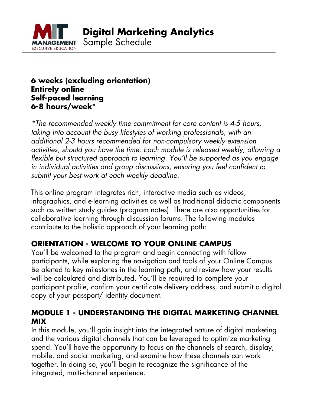

### **6 weeks (excluding orientation) Entirely online Self-paced learning 6-8 hours/week\***

\*The recommended weekly time commitment for core content is 4-5 hours, taking into account the busy lifestyles of working professionals, with an additional 2-3 hours recommended for non-compulsory weekly extension activities, should you have the time. Each module is released weekly, allowing a flexible but structured approach to learning. You'll be supported as you engage in individual activities and group discussions, ensuring you feel confident to submit your best work at each weekly deadline.

This online program integrates rich, interactive media such as videos, infographics, and e-learning activities as well as traditional didactic components such as written study guides (program notes). There are also opportunities for collaborative learning through discussion forums. The following modules contribute to the holistic approach of your learning path:

# **ORIENTATION - WELCOME TO YOUR ONLINE CAMPUS**

You'll be welcomed to the program and begin connecting with fellow participants, while exploring the navigation and tools of your Online Campus. Be alerted to key milestones in the learning path, and review how your results will be calculated and distributed. You'll be required to complete your participant profile, confirm your certificate delivery address, and submit a digital copy of your passport/ identity document.

# **MODULE 1 - UNDERSTANDING THE DIGITAL MARKETING CHANNEL MIX**

In this module, you'll gain insight into the integrated nature of digital marketing and the various digital channels that can be leveraged to optimize marketing spend. You'll have the opportunity to focus on the channels of search, display, mobile, and social marketing, and examine how these channels can work together. In doing so, you'll begin to recognize the significance of the integrated, multi-channel experience.